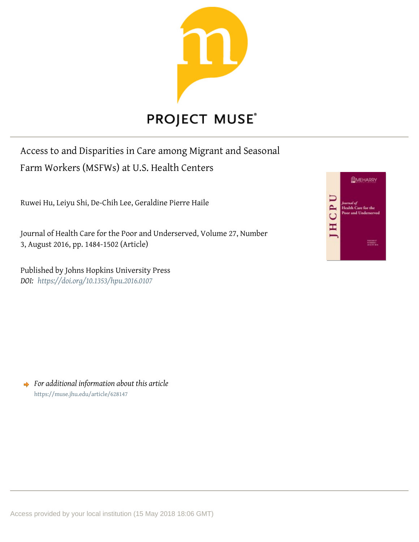

# Access to and Disparities in Care among Migrant and Seasonal

Farm Workers (MSFWs) at U.S. Health Centers

Ruwei Hu, Leiyu Shi, De-Chih Lee, Geraldine Pierre Haile

Journal of Health Care for the Poor and Underserved, Volume 27, Number 3, August 2016, pp. 1484-1502 (Article)

Published by Johns Hopkins University Press *DOI: <https://doi.org/10.1353/hpu.2016.0107>*



*For additional information about this article* <https://muse.jhu.edu/article/628147>

Access provided by your local institution (15 May 2018 18:06 GMT)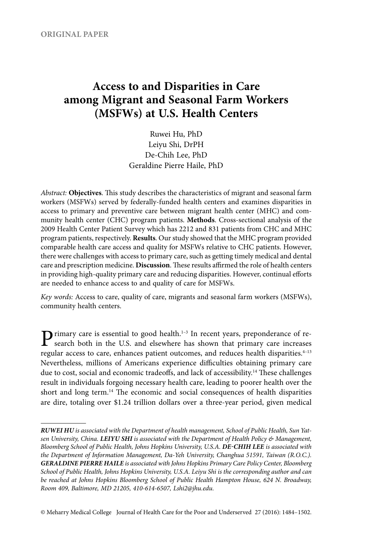## **Access to and Disparities in Care among Migrant and Seasonal Farm Workers (MSFWs) at U.S. Health Centers**

Ruwei Hu, PhD Leiyu Shi, DrPH De-Chih Lee, PhD Geraldine Pierre Haile, PhD

*Abstract:* **Objectives**. This study describes the characteristics of migrant and seasonal farm workers (MSFWs) served by federally- funded health centers and examines disparities in access to primary and preventive care between migrant health center (MHC) and community health center (CHC) program patients. **Methods**. Cross- sectional analysis of the 2009 Health Center Patient Survey which has 2212 and 831 patients from CHC and MHC program patients, respectively. **Results**. Our study showed that the MHC program provided comparable health care access and quality for MSFWs relative to CHC patients. However, there were challenges with access to primary care, such as getting timely medical and dental care and prescription medicine. **Discussion**. These results affirmed the role of health centers in providing high- quality primary care and reducing disparities. However, continual efforts are needed to enhance access to and quality of care for MSFWs.

*Key words:* Access to care, quality of care, migrants and seasonal farm workers (MSFWs), community health centers.

 $\sum$  rimary care is essential to good health.<sup>1–3</sup> In recent years, preponderance of re-<br>search both in the U.S. and elsewhere has shown that primary care increases regular access to care, enhances patient outcomes, and reduces health disparities.<sup>4-13</sup> Nevertheless, millions of Americans experience difficulties obtaining primary care due to cost, social and economic tradeoffs, and lack of accessibility.<sup>14</sup> These challenges result in individuals forgoing necessary health care, leading to poorer health over the short and long term.<sup>14</sup> The economic and social consequences of health disparities are dire, totaling over \$1.24 trillion dollars over a three- year period, given medical

© Meharry Medical College Journal of Health Care for the Poor and Underserved 27 (2016): 1484–1502.

*RUWEI HU is associated with the Department of health management, School of Public Health, Sun Yatsen University, China. LEIYU SHI is associated with the Department of Health Policy & Management, Bloomberg School of Public Health, Johns Hopkins University, U.S.A. DE- CHIH LEE is associated with the Department of Information Management, Da- Yeh University, Changhua 51591, Taiwan (R.O.C.). GERALDINE PIERRE HAILE is associated with Johns Hopkins Primary Care Policy Center, Bloomberg School of Public Health, Johns Hopkins University, U.S.A. Leiyu Shi is the corresponding author and can be reached at Johns Hopkins Bloomberg School of Public Health Hampton House, 624 N. Broadway, Room 409, Baltimore, MD 21205, 410-614-6507, Lshi2@jhu .edu.*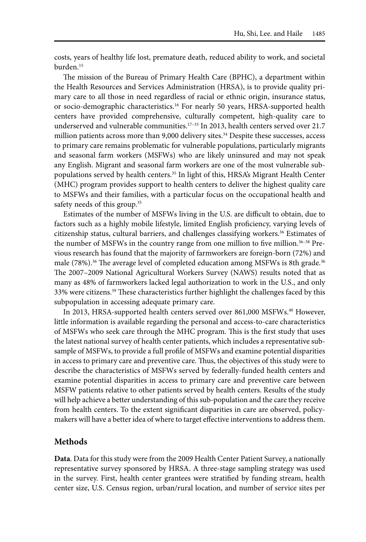costs, years of healthy life lost, premature death, reduced ability to work, and societal burden.15

The mission of the Bureau of Primary Health Care (BPHC), a department within the Health Resources and Services Administration (HRSA), is to provide quality primary care to all those in need regardless of racial or ethnic origin, insurance status, or socio-demographic characteristics.<sup>16</sup> For nearly 50 years, HRSA-supported health centers have provided comprehensive, culturally competent, high-quality care to underserved and vulnerable communities.<sup>17-33</sup> In 2013, health centers served over 21.7 million patients across more than  $9,000$  delivery sites.<sup>34</sup> Despite these successes, access to primary care remains problematic for vulnerable populations, particularly migrants and seasonal farm workers (MSFWs) who are likely uninsured and may not speak any English. Migrant and seasonal farm workers are one of the most vulnerable subpopulations served by health centers.35 In light of this, HRSA's Migrant Health Center (MHC) program provides support to health centers to deliver the highest quality care to MSFWs and their families, with a particular focus on the occupational health and safety needs of this group.<sup>35</sup>

Estimates of the number of MSFWs living in the U.S. are difficult to obtain, due to factors such as a highly mobile lifestyle, limited English proficiency, varying levels of citizenship status, cultural barriers, and challenges classifying workers.36 Estimates of the number of MSFWs in the country range from one million to five million. $36-38$  Previous research has found that the majority of farmworkers are foreign- born (72%) and male (78%).<sup>36</sup> The average level of completed education among MSFWs is 8th grade.<sup>36</sup> The 2007– 2009 National Agricultural Workers Survey (NAWS) results noted that as many as 48% of farmworkers lacked legal authorization to work in the U.S., and only 33% were citizens.39 These characteristics further highlight the challenges faced by this subpopulation in accessing adequate primary care.

In 2013, HRSA-supported health centers served over 861,000 MSFWs.<sup>40</sup> However, little information is available regarding the personal and access- to-care characteristics of MSFWs who seek care through the MHC program. This is the first study that uses the latest national survey of health center patients, which includes a representative subsample of MSFWs, to provide a full profile of MSFWs and examine potential disparities in access to primary care and preventive care. Thus, the objectives of this study were to describe the characteristics of MSFWs served by federally- funded health centers and examine potential disparities in access to primary care and preventive care between MSFW patients relative to other patients served by health centers. Results of the study will help achieve a better understanding of this sub- population and the care they receive from health centers. To the extent significant disparities in care are observed, policymakers will have a better idea of where to target effective interventions to address them.

### **Methods**

**Data**. Data for this study were from the 2009 Health Center Patient Survey, a nationally representative survey sponsored by HRSA. A three- stage sampling strategy was used in the survey. First, health center grantees were stratified by funding stream, health center size, U.S. Census region, urban/rural location, and number of service sites per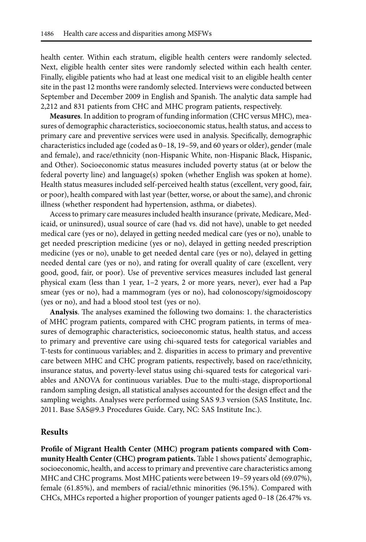health center. Within each stratum, eligible health centers were randomly selected. Next, eligible health center sites were randomly selected within each health center. Finally, eligible patients who had at least one medical visit to an eligible health center site in the past 12 months were randomly selected. Interviews were conducted between September and December 2009 in English and Spanish. The analytic data sample had 2,212 and 831 patients from CHC and MHC program patients, respectively.

**Measures**. In addition to program of funding information (CHC versus MHC), measures of demographic characteristics, socioeconomic status, health status, and access to primary care and preventive services were used in analysis. Specifically, demographic characteristics included age (coded as 0–18, 19–59, and 60 years or older), gender (male and female), and race/ethnicity (non-Hispanic White, non-Hispanic Black, Hispanic, and Other). Socioeconomic status measures included poverty status (at or below the federal poverty line) and language(s) spoken (whether English was spoken at home). Health status measures included self- perceived health status (excellent, very good, fair, or poor), health compared with last year (better, worse, or about the same), and chronic illness (whether respondent had hypertension, asthma, or diabetes).

Access to primary care measures included health insurance (private, Medicare, Medicaid, or uninsured), usual source of care (had vs. did not have), unable to get needed medical care (yes or no), delayed in getting needed medical care (yes or no), unable to get needed prescription medicine (yes or no), delayed in getting needed prescription medicine (yes or no), unable to get needed dental care (yes or no), delayed in getting needed dental care (yes or no), and rating for overall quality of care (excellent, very good, good, fair, or poor). Use of preventive services measures included last general physical exam (less than 1 year, 1–2 years, 2 or more years, never), ever had a Pap smear (yes or no), had a mammogram (yes or no), had colonoscopy/sigmoidoscopy (yes or no), and had a blood stool test (yes or no).

**Analysis**. The analyses examined the following two domains: 1. the characteristics of MHC program patients, compared with CHC program patients, in terms of measures of demographic characteristics, socioeconomic status, health status, and access to primary and preventive care using chi- squared tests for categorical variables and T-tests for continuous variables; and 2. disparities in access to primary and preventive care between MHC and CHC program patients, respectively, based on race/ethnicity, insurance status, and poverty-level status using chi-squared tests for categorical variables and ANOVA for continuous variables. Due to the multi- stage, disproportional random sampling design, all statistical analyses accounted for the design effect and the sampling weights. Analyses were performed using SAS 9.3 version (SAS Institute, Inc. 2011. Base SAS@9.3 Procedures Guide. Cary, NC: SAS Institute Inc.).

#### **Results**

**Profile of Migrant Health Center (MHC) program patients compared with Community Health Center (CHC) program patients.** Table 1 shows patients' demographic, socioeconomic, health, and access to primary and preventive care characteristics among MHC and CHC programs. Most MHC patients were between 19–59 years old (69.07%), female (61.85%), and members of racial/ ethnic minorities (96.15%). Compared with CHCs, MHCs reported a higher proportion of younger patients aged 0– 18 (26.47% vs.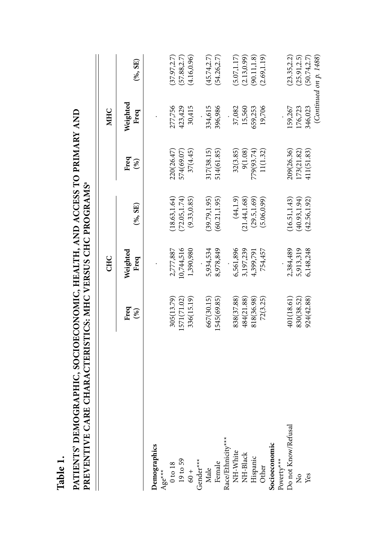|                                                                              |             | CHC              |               |                | <b>MHC</b>       |                        |
|------------------------------------------------------------------------------|-------------|------------------|---------------|----------------|------------------|------------------------|
|                                                                              |             |                  |               |                |                  |                        |
|                                                                              | Freq<br>(%) | Weighted<br>Freq | (%, SE)       | Freq<br>$(\%)$ | Weighted<br>Freq | (%, SE)                |
| Demographics                                                                 |             |                  |               |                |                  |                        |
| Age***                                                                       |             |                  |               |                |                  |                        |
|                                                                              | 305(13.79)  | 2,777,887        | (18.63, 1.64) | 220(26.47)     | 277,756          | (37.97, 2.7)           |
|                                                                              | 1571(71.02) | 10,744,516       | (72.05, 1.74) | 574(69.07)     | 423,429          | (57.88, 2.7)           |
| $\begin{array}{c} 0 \text{ to } 18 \\ 19 \text{ to } 59 \\ 60 + \end{array}$ | 336(15.19)  | 1,390,980        | (9.33, 0.85)  | 37(4.45)       | 30,415           | (4.16, 0.96)           |
| Gender**                                                                     |             |                  |               |                |                  |                        |
|                                                                              | 667(30.15)  | 5,934,534        | (39.79, 1.95) | 317(38.15)     | 334,615          | (45.74, 2.7)           |
| Male<br>Female                                                               | 1545(69.85) | 8,978,849        | (60.21, 1.95) | 514(61.85)     | 396,986          | (54.26, 2.7)           |
| Race/Ethnicity**                                                             |             |                  |               |                |                  |                        |
|                                                                              | 838(37.88)  | 6,561,896        | (44, 1.9)     | 32(3.85)       | 37,082           | (5.07, 1.17)           |
| NH-White<br>NH-Black                                                         | 484(21.88)  | 3,197,239        | (21.44, 1.68) | 9(1.08)        | 15,560           | (2.13, 0.99)           |
| Hispanic<br>Other                                                            | 818(36.98)  | 4,399,791        | (29.5, 1.69)  | 779(93.74)     | 659,253          | (90.11, 1.8)           |
|                                                                              | 72(3.25)    | 754,457          | (5.06, 0.99)  | 11(1.32)       | 19,706           | (2.69, 1.19)           |
| Socioeconomic                                                                |             |                  |               |                |                  |                        |
|                                                                              |             |                  |               |                |                  |                        |
| Poverty***<br>Do not Know/Refusal                                            | 401(18.61)  | 2,384,489        | (16.51, 1.43) | 209(26.36)     | 159,267          | (23.35, 2.2)           |
| $\mathsf{R}^{\circ}$                                                         | 830(38.52)  | 5,913,319        | (40.93, 1.94) | 173(21.82)     | 176,723          | (25.91, 2.5)           |
| Yes                                                                          | 924(42.88)  | 6,148,248        | (42.56, 1.92) | 411(51.83)     | 346,023          | (50.74,2.7)            |
|                                                                              |             |                  |               |                |                  | (Continued on p. 1488) |

**PATIENTS' DEMOGRAPHIC, SOCIOECONOMIC, HEALTH, AND ACCESS TO PRIMARY AND** 

**Table 1.**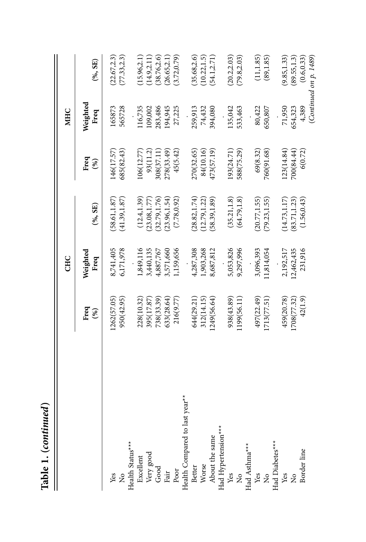|                                   |                | CHC              |               |                | <b>MHC</b>       |                           |
|-----------------------------------|----------------|------------------|---------------|----------------|------------------|---------------------------|
|                                   | Freq<br>$(\%)$ | Weighted<br>Freq | (%, SE)       | Freq<br>$(\%)$ | Weighted<br>Freq | $(\% , \mathrm{SE})$      |
|                                   | 1262(57.05)    | 8,741,405        | 58.61, 1.87   | 146(17.57)     | 165873           | (22.67, 2.3)              |
| yes<br>No                         | 950(42.95)     | 6,171,978        | (41.39, 1.87) | 685(82.43)     | 565728           | (77.33, 2.3)              |
| Health Status***<br>Excellent     |                |                  |               |                |                  |                           |
|                                   | 228(10.32)     | 1,849,116        | (12.4, 1.39)  | 106(12.77)     | 116,735          | (15.96, 2.1)              |
|                                   | 395(17.87)     | 3,440,135        | (23.08, 1.77) | 93(11.2)       | 109,002          | (14.9, 2.11)              |
| Very good<br>Good<br>Fair<br>Poor | 738(33.39)     | 4,887,767        | (32.79, 1.76) | 308(37.11)     | 283,486          | (38.76, 2.6)              |
|                                   | 633(28.64)     | 3,571,660        | (23.96, 1.54) | 278(33.49)     | 194,945          | (26.65, 2.1)              |
|                                   | 216(9.77)      | 1,159,656        | (7.78, 0.92)  | 45(5.42)       | 27,225           | (3.72, 0.79)              |
| Health Compared to last year**    |                |                  |               |                |                  |                           |
| Better<br>Worse                   | 644(29.21)     | 4,287,308        | (28.82, 1.74) | 270(32.65)     | 259,913          | (35.68, 2.6)              |
|                                   | 312(14.15)     | 1,903,268        | (12.79, 1.22) | 84(10.16)      | 74,432           | (10.22, 1.5)              |
| About the same                    | 1249(56.64     | 8,687,812        | 58.39, 1.89   | 473(57.19)     | 394,080          | (54.1, 2.71)              |
|                                   |                |                  |               |                |                  |                           |
| Had Hypertension***<br>Yes<br>No  | 938(43.89)     | 5,053,826        | (35.21, 1.8)  | 193(24.71)     | 135,042          | (20.2, 2.03)              |
|                                   | 1199(56.11)    | 9,297,996        | (64.79, 1.8)  | 588(75.29)     | 533,463          | (79.8, 2.03)              |
| Had Asthma***                     |                |                  |               |                |                  |                           |
| yes<br>No                         | 497(22.49)     | 3,096,393        | (20.77, 1.55) | 69(8.32)       | 80,422           | (11, 1.85)                |
|                                   | 1713(77.51)    | 11,814,054       | (79.23, 1.55) | 760(91.68)     | 650,807          | (89, 1.85)                |
| Had Diabetes***                   |                |                  |               |                |                  |                           |
| Yes                               | 459(20.78)     | 2,192,517        | (14.73, 1.17) | 123(14.84)     | 71,950           | (9.85, 1.33)              |
| $\frac{1}{2}$                     | 1708(77.32)    | 12,462,435       | (83.71, 1.23) | 700(84.44)     | 654,323          | (89.55, 1.3)              |
| Border line                       | 42(1.9)        | 231,916          | (1.56, 0.43)  | 6(0.72)        | 4,389            | (0.6, 0.33)               |
|                                   |                |                  |               |                |                  | (Continued on $p$ . 1489) |

Table 1. (continued) **Table 1. (***continued***)**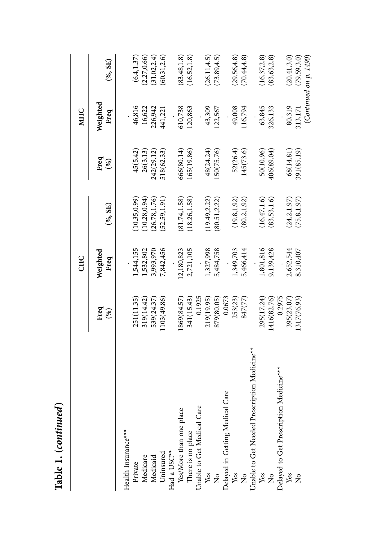|                                                     |             | CHC              |               |                | <b>MHC</b>       |                        |
|-----------------------------------------------------|-------------|------------------|---------------|----------------|------------------|------------------------|
|                                                     | Freq<br>(%) | Weighted<br>Freq | $(*, SE)$     | Freq<br>$(\%)$ | Weighted<br>Freq | $(*, SE)$              |
| Health Insurance***                                 |             |                  |               |                |                  |                        |
| Private                                             | 251(11.35)  | 1,544,155        | 10.35, 0.99   | 45(5.42)       | 46,816           | (6.4, 1.37)            |
| Medicare                                            | 319(14.42)  | 1,532,802        | (10.28, 0.94) | 26(3.13)       | 16,622           | (2.27, 0.66)           |
| Medicaid                                            | 539(24.37)  | 3,993,970        | (26.78, 1.76) | 242(29.12)     | 226,942          | 31.02,2.4              |
| Uninsured                                           | 1103(49.86) | 7,842,456        | 52.59,1.91)   | 518(62.33)     | 441,221          | (60.31, 2.6)           |
| Had a USC <sup>**</sup>                             |             |                  |               |                |                  |                        |
| Yes/More than one place                             | 869(84.57)  | 12,180,823       | (81.74, 1.58) | 666(80.14)     | 610,738          | (83.48, 1.8)           |
| There is no place                                   | 341(15.43)  | 2,721,105        | (18.26, 1.58) | 165(19.86)     | 120,863          | (16.52, 1.8)           |
| Unable to Get Medical Care                          | 0.1925      |                  |               |                |                  |                        |
| Yes                                                 | 219(19.95)  | 1,327,998        | (19.49, 2.22) | 48(24.24)      | 43,309           | (26.11, 4.5)           |
| $\frac{1}{2}$                                       | 879(80.05)  | 5,484,758        | 80.51,2.22)   | 50(75.76)      | 122,567          | (73.89, 4.5)           |
| Delayed in Getting Medical Care                     | 0.0673      |                  |               |                |                  |                        |
| Yes                                                 | 253(23)     | 1,349,703        | (19.8, 1.92)  | 52(26.4)       | 49,008           | (29.56, 4.8)           |
| $\frac{1}{2}$                                       | 847(77)     | 5,466,414        | (80.2, 1.92)  | 145(73.6)      | 116,794          | (70.44, 4.8)           |
| Unable to Get Needed Prescription Medicine**        |             |                  |               |                |                  |                        |
| Yes                                                 | 295(17.24)  | 1,801,816        | (16.47, 1.6)  | 50(10.96)      | 63,845           | (16.37, 2.8)           |
| $\frac{1}{2}$                                       | 1416(82.76) | 9,139,428        | (83.53, 1.6)  | 406(89.04)     | 326,133          | (83.63, 2.8)           |
| Delayed to Get Prescription Medicine <sup>***</sup> | 0.2975      |                  |               |                |                  |                        |
| Yes                                                 | 395(23.07)  | 2,652,544        | (24.2, 1.97)  | 68(14.81)      | 80,319           | (20.41, 3.0)           |
| ž                                                   | 1317(76.93) | 8,310,407        | (75.8, 1.97)  | 391(85.19)     | 313,171          | (79.59, 3.0)           |
|                                                     |             |                  |               |                |                  | (Continued on p. 1490) |

Table 1. (continued) **Table 1. (***continued***)**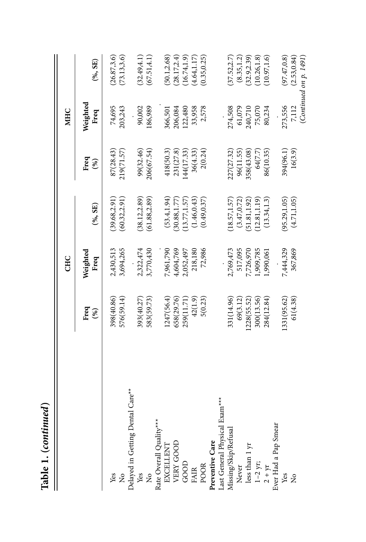| Table 1. (continued)             |             |                  |               |             |                  |                        |
|----------------------------------|-------------|------------------|---------------|-------------|------------------|------------------------|
|                                  |             | CHC              |               |             | <b>MHC</b>       |                        |
|                                  | Freq<br>(%) | Weighted<br>Freq | $(*6, SE)$    | Freq<br>(%) | Weighted<br>Freq | $(*, SE)$              |
| Yes                              | 398(40.86)  | 2,430,513        | (39.68, 2.91) | 87(28.43)   | 74,695           | (26.87, 3.6)           |
| $\frac{1}{2}$                    | 576(59.14)  | 3,694,265        | (60.32, 2.91) | 219(71.57)  | 203,243          | (73.13, 3.6)           |
| Delayed in Getting Dental Care** |             |                  |               |             |                  |                        |
| Yes                              | 393(40.27   | 2,322,474        | (38.12, 2.89) | 99(32.46)   | 90,002           | (32.49, 4.1)           |
| $\frac{1}{2}$                    | 583(59.73   | 3,770,430        | (61.88, 2.89) | 206(67.54)  | 186,989          | (67.51, 4.1)           |
| Rate Overall Quality**           |             |                  |               |             |                  |                        |
| EXCELLENT                        | 1247(56.4)  | 7,961,790        | (53.4, 1.94)  | 418(50.3)   | 366,501          | (50.1, 2.68)           |
| VERY GOOD                        | 658(29.76)  | 4,604,769        | (30.88, 1.77) | 231(27.8)   | 206,084          | (28.17, 2.4)           |
| GOOD                             | 259(11.71)  | 2,052,497        | (13.77, 1.57) | 144(17.33)  | 122,480          | (16.74, 1.9)           |
| <b>FAIR</b>                      | 42(1.9)     | 218,180          | (1.46, 0.43)  | 36(4.33)    | 33,958           | (4.64, 1.17)           |
| <b>POOR</b>                      | 5(0.23)     | 72,986           | (0.49, 0.37)  | 2(0.24)     | 2,578            | (0.35, 0.25)           |
| Preventive Care                  |             |                  |               |             |                  |                        |
| Last General Physical Exam***    |             |                  |               |             |                  |                        |
| Missing/Skip/Refusal             | 331(14.96)  | 2,769,473        | (18.57, 1.57) | 227(27.32)  | 274,508          | (37.52, 2.7)           |
| Never                            | 69(3.12)    | 517,095          | (3.47, 0.72)  | 96(11.55)   | 61,079           | (8.35, 1.2)            |
|                                  | 1228(55.52) | 7,726,970        | (51.81, 1.92) | 358(43.08)  | 240,710          | (32.9, 2.39)           |
| less than 1 yr<br>1-2 yr;        | 300(13.56)  | 1,909,785        | 12.81, 1.19   | 64(7.7)     | 75,070           | (10.26, 1.8)           |
| $2 + yr$                         | 284(12.84)  | 1,990,061        | (13.34, 1.3)  | 86(10.35)   | 80,234           | (10.97, 1.6)           |
| Ever Had a Pap Smear             |             |                  |               |             |                  |                        |
| Yes                              | 1331(95.62) | 7,444,329        | (95.29, 1.05) | 394(96.1)   | 273,556          | (97.47, 0.8)           |
| ž                                | 61(4.38)    | 367,869          | (4.71, 1.05)  | 16(3.9)     | 7,112            | (2.53, 0.84)           |
|                                  |             |                  |               |             |                  | (Continued on p. 1491) |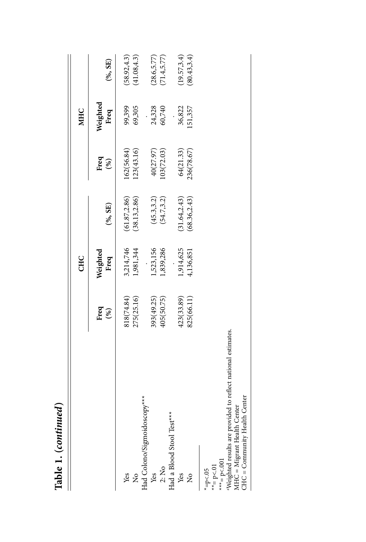| 1411 |
|------|
| こうかん |
| ÷    |

 $\parallel$ 

|                                                                                                            |             | CHC              |               |             | <b>MHC</b>       |              |
|------------------------------------------------------------------------------------------------------------|-------------|------------------|---------------|-------------|------------------|--------------|
|                                                                                                            | Freq<br>(%) | Weighted<br>Freq | (%,SE)        | Freq<br>(%) | Weighted<br>Freq | (%, SE)      |
| Yes                                                                                                        | 818(74.84)  | 3,214,746        | (61.87, 2.86) | 162(56.84)  | 99,399           | (58.92, 4.3) |
| $\frac{1}{2}$                                                                                              | 275(25.16)  | 1,981,344        | (38.13, 2.86) | (23(43.16)) | 69,305           | (41.08, 4.3) |
| Had Colono/Sigmoidoscopy***                                                                                |             |                  |               |             |                  |              |
| Yes                                                                                                        | 393(49.25)  | 1,523,156        | (45.3, 3.2)   | 40(27.97)   | 24,328           | (28.6, 5.77) |
| 2: No                                                                                                      | 405(50.75)  | 1,839,286        | (54.7, 3.2)   | 03(72.03)   | 60,740           | 71.4, 5.77   |
| Had a Blood Stool Test***                                                                                  |             |                  |               |             |                  |              |
| Yes                                                                                                        | 423(33.89)  | 1,914,625        | (31.64, 2.43) | 64(21.33)   | 36,822           | 19.57, 3.4   |
| $\overline{\mathsf{z}}$                                                                                    | 825(66.11)  | 1,136,851        | (68.36, 2.43) | 236(78.67)  | .51,357          | (80.43, 3.4) |
| $* = p < 01$<br>* $=p<.05$                                                                                 |             |                  |               |             |                  |              |
| ***= $p < 001$                                                                                             |             |                  |               |             |                  |              |
| <sup>a</sup> Weighted results are provided to reflect national estimates.<br>$MHC = Migrant Health Center$ |             |                  |               |             |                  |              |

MHC = Migrant Health Center<br>CHC = Community Health Center MHC = Migrant Health Center

CHC = Community Health Center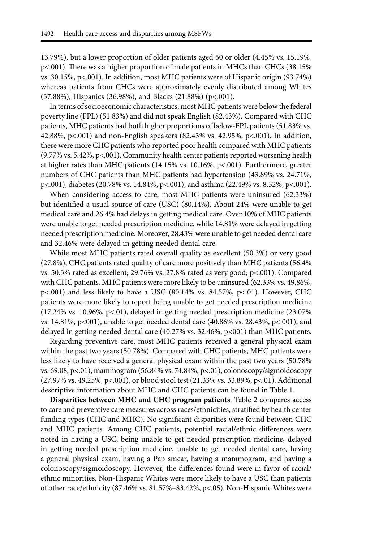13.79%), but a lower proportion of older patients aged 60 or older (4.45% vs. 15.19%, p<.001). There was a higher proportion of male patients in MHCs than CHCs (38.15% vs. 30.15%, p<.001). In addition, most MHC patients were of Hispanic origin (93.74%) whereas patients from CHCs were approximately evenly distributed among Whites (37.88%), Hispanics (36.98%), and Blacks (21.88%) (p<.001).

In terms of socioeconomic characteristics, most MHC patients were below the federal poverty line (FPL) (51.83%) and did not speak English (82.43%). Compared with CHC patients, MHC patients had both higher proportions of below- FPL patients (51.83% vs. 42.88%, p<.001) and non- English speakers (82.43% vs. 42.95%, p<.001). In addition, there were more CHC patients who reported poor health compared with MHC patients (9.77% vs. 5.42%, p<.001). Community health center patients reported worsening health at higher rates than MHC patients (14.15% vs. 10.16%, p<.001). Furthermore, greater numbers of CHC patients than MHC patients had hypertension (43.89% vs. 24.71%, p<.001), diabetes (20.78% vs. 14.84%, p<.001), and asthma (22.49% vs. 8.32%, p<.001).

When considering access to care, most MHC patients were uninsured (62.33%) but identified a usual source of care (USC) (80.14%). About 24% were unable to get medical care and 26.4% had delays in getting medical care. Over 10% of MHC patients were unable to get needed prescription medicine, while 14.81% were delayed in getting needed prescription medicine. Moreover, 28.43% were unable to get needed dental care and 32.46% were delayed in getting needed dental care.

While most MHC patients rated overall quality as excellent (50.3%) or very good (27.8%), CHC patients rated quality of care more positively than MHC patients (56.4% vs. 50.3% rated as excellent; 29.76% vs. 27.8% rated as very good; p<.001). Compared with CHC patients, MHC patients were more likely to be uninsured (62.33% vs. 49.86%, p<.001) and less likely to have a USC (80.14% vs. 84.57%, p<.01). However, CHC patients were more likely to report being unable to get needed prescription medicine  $(17.24\% \text{ vs. } 10.96\%, \text{ p} < 0.01)$ , delayed in getting needed prescription medicine  $(23.07\%$ vs. 14.81%, p<001), unable to get needed dental care (40.86% vs. 28.43%, p<.001), and delayed in getting needed dental care  $(40.27\% \text{ vs. } 32.46\%, \text{ p} < 001)$  than MHC patients.

Regarding preventive care, most MHC patients received a general physical exam within the past two years (50.78%). Compared with CHC patients, MHC patients were less likely to have received a general physical exam within the past two years (50.78% vs. 69.08, p<.01), mammogram (56.84% vs. 74.84%, p<.01), colonoscopy/ sigmoidoscopy (27.97% vs. 49.25%, p<.001), or blood stool test (21.33% vs. 33.89%, p<.01). Additional descriptive information about MHC and CHC patients can be found in Table 1.

**Disparities between MHC and CHC program patients**. Table 2 compares access to care and preventive care measures across races/ ethnicities, stratified by health center funding types (CHC and MHC). No significant disparities were found between CHC and MHC patients. Among CHC patients, potential racial/ethnic differences were noted in having a USC, being unable to get needed prescription medicine, delayed in getting needed prescription medicine, unable to get needed dental care, having a general physical exam, having a Pap smear, having a mammogram, and having a colonoscopy/ sigmoidoscopy. However, the differences found were in favor of racial/ ethnic minorities. Non- Hispanic Whites were more likely to have a USC than patients of other race/ ethnicity (87.46% vs. 81.57%– 83.42%, p<.05). Non- Hispanic Whites were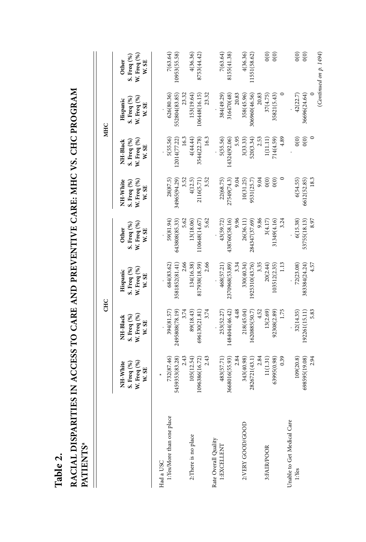| PATIENTS <sup>ª</sup>                  |                                                                      |                                                 |                                                 |                                              |                                                 |                                                 |                                                 |                                                     |
|----------------------------------------|----------------------------------------------------------------------|-------------------------------------------------|-------------------------------------------------|----------------------------------------------|-------------------------------------------------|-------------------------------------------------|-------------------------------------------------|-----------------------------------------------------|
|                                        |                                                                      | <b>CHC</b>                                      |                                                 |                                              |                                                 |                                                 | <b>MHC</b>                                      |                                                     |
|                                        | S. Freq $\binom{96}{6}$ W. Freq $\binom{96}{6}$<br>NH-White<br>W. SE | W. Freq (%)<br>S. Freq (%)<br>NH-Black<br>W. SE | W. Freq (%)<br>S. Freq (%)<br>Hispanic<br>W. SE | W. Freq (%)<br>S. Freq (%)<br>Other<br>W. SE | W. Freq (%)<br>NH-White<br>S. Freq (%)<br>W. SE | W. Freq (%)<br>S. Freq (%)<br>NH-Black<br>W. SE | W. Freq (%)<br>S. Freq (%)<br>Hispanic<br>W. SE | W. Freq (%)<br>S. Freq (%)<br><b>Other</b><br>W. SE |
| 1:Yes/More than one place<br>Had a USC | 732(87.46)<br>2.43<br>5459353(83.28)                                 | 3.74<br>394(81.57)<br>2495808(78.19)            | 2.66<br>684(83.62)<br>3581852(81.41)            | 59(81.94)<br>5.62<br>643808(85.33)           | 28(87.5)<br>3.52<br>34965(94.29)                | 5(55.56)<br>16.3<br>12014(77.22)                | 626(80.36)<br>552804(83.85)<br>23.32            | 7(63.64)<br>10953 (55.58)                           |
| 2: There is no place                   | 105(12.54)<br>2.43<br>96386(16.72)<br>109                            | 3.74<br>89(18.43)<br>696130(21.81)              | 2.66<br>817938(18.59)<br>134(16.38)             | 5.62<br>13(18.06)<br>10648(14.67)            | 3.52<br>4(12.5)<br>2116(5.71                    | 16.3<br>4(44.44)<br>3544(22.78)                 | 153(19.64)<br>106448(16.15)<br>23.32            | 4(36.36)<br>8753 (44.42)                            |
| Rate Overall Quality<br>1:EXCELLENT    | 8016(55.93)<br>483(57.71)<br>366                                     | 1484044(46.42)<br>253(52.27)                    | 2370968(53.89)<br>468(57.21)                    | 438760(58.16)<br>43(59.72)                   | 27549(74.3)<br>22(68.75)                        | 5(55.56)<br>14324(92.06)                        | 316470(48)<br>384(49.29)                        | 7(63.64)<br>8155(41.38)                             |
| 2:VERY GOOD/GOOD                       | 2.84<br>343(40.98)<br>2.84<br>2826721(43.1)                          | 4.48<br>4.52<br>218(45.04)<br>1620885(50.7)     | 3.35<br>3.34<br>(925310(43.76)<br>330(40.34)    | 9.96<br>9.86<br>284347(37.69)<br>26(36.11)   | 9.04<br>9.04<br>10(31.25)<br>9531(25.7)         | 5.95<br>2.53<br>520(3.34)<br>3(33.33)           | 20.83<br>306960(46.56)<br>20.83<br>358(45.96)   | 4(36.36)<br>11551(58.62)                            |
| 3:FAIR/POOR                            | 0.39<br>63995(0.98)<br>11(1.31)                                      | 1.75<br>13(2.69)<br>92308(2.89)                 | 1.13<br>20(2.44)<br>103512(2.35)                | 3.24<br>31349(4.16)<br>3(4.17)               | $\mathcal{O}(0)$<br>0(0)                        | 4.89<br>714(4.59)<br>1(11.11)                   | 35821(5.43)<br>37(4.75)                         | $\widehat{0}$<br>0(0)                               |
| Unable to Get Medical Care<br>1:Yes    | 2.94<br>109(20.8)<br>8595(19.08)<br>S)                               | 5.83<br>32(14.35)<br>192261 (15.11)             | 72(23.08)<br>383384(24.24)<br>4.57              | 6(15.38)<br>8.97<br>53755(18.13)             | 18.3<br>6(54.55)<br>6612(52.85)                 | $\overline{0}$<br>0(0)                          | 42(22.7)<br>36696(24.64)                        | 0(0)<br>(Continued on p. 1494)<br>0(0)              |

RACIAL DISPARITIES IN ACCESS TO CARE AND PREVENTIVE CARE: MHC VS. CHC PROGRAM **RACIAL DISPARITIES IN ACCESS TO CARE AND PREVENTIVE CARE: MHC VS. CHC PROGRAM PATIENTSa DATEDATE** 

**Table 2.**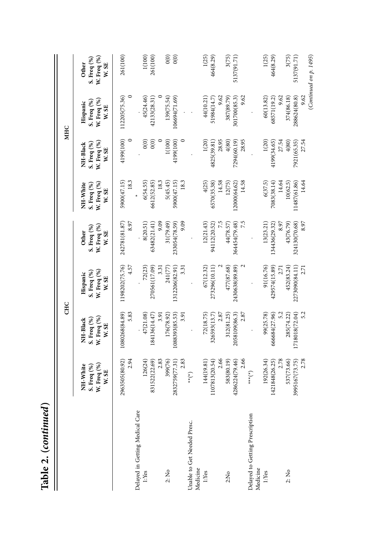|                                             |                                                                                            | <b>CHC</b>                                      |                                                 |                                              |                                                 |                                                 | <b>MHC</b>                                      |                                              |
|---------------------------------------------|--------------------------------------------------------------------------------------------|-------------------------------------------------|-------------------------------------------------|----------------------------------------------|-------------------------------------------------|-------------------------------------------------|-------------------------------------------------|----------------------------------------------|
|                                             | W. Freq (%)<br>NH-White<br>S. Freq (%)<br>W. SE                                            | W. Freq (%)<br>S. Freq (%)<br>NH-Black<br>W. SE | W. Freq (%)<br>S. Freq (%)<br>Hispanic<br>W. SE | W. Freq (%)<br>S. Freq (%)<br>Other<br>W. SE | W. Freq (%)<br>NH-White<br>S. Freq (%)<br>W. SE | W. Freq (%)<br>S. Freq (%)<br>NH-Black<br>W. SE | W. Freq (%)<br>S. Freq (%)<br>Hispanic<br>W. SE | W. Freq (%)<br>S. Freq (%)<br>Other<br>W. SE |
|                                             | 2.94<br>2963505(80.92)                                                                     | 1080268(84.89)<br>583                           | 1198202(75.76)<br>4.57                          | 242781(81.87)<br>8.97                        | 18.3<br>5900(47.15)                             | 4199(100)                                       | 112205(75.36)                                   | 261(100)                                     |
| Delayed in Getting Medical Care             |                                                                                            |                                                 |                                                 |                                              |                                                 |                                                 |                                                 |                                              |
| 1:Yes                                       | 126(24)                                                                                    | 47(21.08)                                       | 72(23)                                          | 8(20.51)                                     | 6(54.55)                                        | $\widetilde{\mathrm{o}}(0)$                     | 45(24.46)                                       | 1(100)                                       |
|                                             | 2.83<br>831522(22.69)                                                                      | 184136(14.47)<br>3.91                           | 270561(17.09)<br>3.31                           | 9.09<br>63482(21.41)                         | 6612(52.85)<br>18.3                             | 0(0)                                            | 42133(28.31)                                    | 261(100)                                     |
| $2:$ No                                     | 399(76)                                                                                    | 176(78.92)                                      | 241(77)                                         | 31(79.49)                                    | 5(45.45)                                        | 1(100)                                          | 139(75.54)                                      | 0(0)                                         |
|                                             | 2832759(77.31)                                                                             | 1088393(85.53)                                  | 1312206(82.91)                                  | 233054(78.59)                                | 5900(47.15)                                     | 4199(100)                                       | 106694(71.69)                                   | 0(0)                                         |
|                                             | 2.83                                                                                       | 3.91                                            | 331                                             | 9.09                                         | 18.3                                            |                                                 |                                                 |                                              |
| Unable to Get Needed Presc.<br>Medicine     | $\left(\begin{smallmatrix} \star \\ \star \end{smallmatrix}\right)$                        |                                                 |                                                 |                                              |                                                 |                                                 |                                                 |                                              |
| 1:Yes                                       | 144(19.81)                                                                                 | 72(18.75)                                       | 67(12.32)                                       | 12(21.43)                                    | 4(25)                                           | 1(20)                                           | 44(10.21)                                       | 1(25)                                        |
|                                             | 07813(20.54)                                                                               | 326593(13.7)                                    | 273296(10.11)                                   | 94112(20.52)                                 | 6570(35.38)                                     | 4825(39.81)                                     | 51984(14.7)                                     | 464(8.29)                                    |
|                                             | 2.66                                                                                       | 2.87                                            |                                                 | 7.5                                          | 14.58                                           | 28.95                                           | 9.62                                            |                                              |
| 2:N <sub>0</sub>                            | 583(80.19)                                                                                 | 312(81.25)                                      | 477(87.68)                                      | 44(78.57)                                    | 12(75)                                          | 4(80)                                           | 387(89.79)                                      | 3(75)                                        |
|                                             | 86224(79.46)<br>$\ddot{c}$                                                                 | 2058109(86.3)                                   | 2430638(89.89)                                  | 364454(79.48)                                | 12000(64.62)                                    | 7294(60.19)                                     | 301700(85.3)                                    | 5137(91.71)                                  |
|                                             | 2.66                                                                                       | 2.87                                            |                                                 | 7.5                                          | 14.58                                           | 28.95                                           | 9.62                                            |                                              |
| Delayed to Getting Prescription<br>Medicine | $\left(\begin{smallmatrix} \star \ \star \ \star \ \star \ \star \end{smallmatrix}\right)$ |                                                 |                                                 |                                              |                                                 |                                                 |                                                 |                                              |
| 1:Yes                                       | 192(26.34)                                                                                 | 99(25.78)                                       | 91(16.76)                                       | 13(23.21)                                    | 6(37.5)                                         | 1(20)                                           | 60(13.82)                                       | 1(25)                                        |
|                                             | 1421848(26.25)                                                                             | 666684(27.96)                                   | 429574(15.89)                                   | 134436(29.32)                                | 7083(38.14)                                     | 4199(34.65)                                     | 68571(19.2)                                     | 464(8.29)                                    |
|                                             | 2.78                                                                                       | 5.2                                             | 2.71                                            | 8.97                                         | 14.64                                           | 27.54                                           | 9.62                                            |                                              |
| $2:$ No                                     | 537(73.66)                                                                                 | 285(74.22)                                      | 452(83.24)                                      | 43(76.79)                                    | 10(62.5)                                        | 4(80)                                           | 374(86.18)                                      | 3(75)                                        |
|                                             | 3995167(73.75)                                                                             | 1718018(72.04)                                  | 2273090(84.11)                                  | 324130(70.68)                                | 11487(61.86)                                    | 7921(65.35)                                     | 288624(80.8)                                    | 5137(91.71)                                  |
|                                             | 2.78                                                                                       | 5.2                                             | 2.71                                            | 8.97                                         | 14.64                                           | 27.54                                           | 9.62                                            |                                              |
|                                             |                                                                                            |                                                 |                                                 |                                              |                                                 |                                                 |                                                 | (Continued on $p$ , $1495$ )                 |

Table 2. (continued) **Table 2. (***continued***)**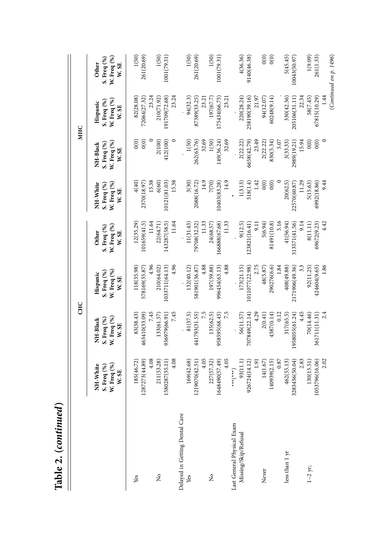| Table 2. (continued)                               |                                                      |                                                 | <b>CHC</b>                                      |                                              |                                                 |                                                 | <b>MHC</b>                                      |                                                |
|----------------------------------------------------|------------------------------------------------------|-------------------------------------------------|-------------------------------------------------|----------------------------------------------|-------------------------------------------------|-------------------------------------------------|-------------------------------------------------|------------------------------------------------|
|                                                    | W. Freq (%)<br>NH-White<br>S. Freq (%)<br>W. SE      | W. Freq (%)<br>S. Freq (%)<br>NH-Black<br>W. SE | W. Freq (%)<br>S. Freq (%)<br>Hispanic<br>W. SE | W. Freq (%)<br>S. Freq (%)<br>Other<br>W. SE | W. Freq (%)<br>NH-White<br>S. Freq (%)<br>W. SE | W. Freq (%)<br>S. Freq (%)<br>NH-Black<br>W. SE | W. Freq (%)<br>S. Freq (%)<br>Hispanic<br>W. SE | W. Freq (%)<br>S. Freq (%)<br>Other<br>W. SE   |
| Yes                                                | 4.08<br>87273(44.89)<br>185(46.72)<br>$\overline{5}$ | 7.45<br>463410(33.09)<br>83(38.43)              | 4.96<br>118(35.98)<br>578169(35.87)             | 11.64<br>12(35.29)<br>101659(41.5)           | 15.38<br>4(40)<br>2370(18.97)                   | $\circ$<br>0(0)<br>0(0)                         | 23.24<br>82(28.08)<br>72064(27.32)              | 1(50)<br>261(20.69)                            |
| $\tilde{z}$                                        | 211(53.28)<br>80287(55.11)<br>$\overline{15}$        | 936979(66.91)<br>133(61.57)                     | 210(64.02)<br>1033711(64.13)                    | 22(64.71)<br>143287(58.5)                    | 6(60)<br>10121(81.03)                           | 2(100)<br>412(100)                              | 191709(72.68)<br>210(71.92)                     | 1(50)<br>1001(79.31)                           |
| Delayed in Getting Dental Care<br>Yes              | 4.08<br>4.05<br>1219070(42.51)<br>169(42.68)         | 7.45<br>7.5<br>81(37.5)<br>441793(31.55)        | 4.96<br>4.88<br>132(40.12)<br>581901(36.87      | 11.64<br>11.33<br>11(31.43)<br>79708(32.32)  | 15.38<br>14.9<br>3(30)<br>2088(16.72)           | $\circ$<br>32.69<br>1(50)<br>262(63.76)         | 23.24<br>94(32.3)<br>87389(33.25)<br>23.21      | 1(50)<br>261(20.69)                            |
| ż                                                  | 4.05<br>1648490(57.49)<br>227(57.32)                 | 7.5<br>135(62.5)<br>958595(68.45)               | 4.88<br>197(59.88)<br>996454(63.13)             | 11.33<br>166888(67.68)<br>24(68.57)          | 14.9<br>7(70)<br>10403(83.28)                   | 32.69<br>$1(50)$<br>149(36.24)                  | 197(67.7)<br>175434(66.75)<br>23.21             | 1(50)<br>1001(79.31)                           |
| Last General Physical Exam<br>Missing/Skip/Refusal | 93(11.1)<br>926724(14.12)<br>1.91<br>$(x+x+x+x+x)$   | 4.29<br>707849(22.14)<br>56(11.57)              | 2.75<br>173(21.15)<br>1011077(22.98)            | 9(12.5)<br>123821(16.41)<br>$\Xi$            | 1.42<br>1(3.13)<br>518(1.4)                     | 23.49<br>6658(42.79)<br>2(22.22)                | 21.97<br>220(28.24)<br>258190(39.16)            | 4(36.36)<br>9140(46.38)                        |
| Never                                              | 0.87<br>140939(2.15)<br>14(1.67)                     | 0.12<br>2(0.41)<br>4387(0.14)                   | 290276(6.6)<br>1.84<br>48(5.87)                 | 5.16<br>5(6.94)<br>81491(10.8)               | 0(0)<br>0(0)                                    | 5.07<br>830(5.34)<br>2(22.22)                   | 60248(9.14)<br>94(12.07)                        | $\widetilde{O}(0)$<br>0(0)                     |
| less than 1 yr                                     | 83436(50.04)<br>2.83<br>462(55.13)<br>32             | 4.45<br>1958055(61.24)<br>317(65.5)             | 33<br>408(49.88)<br>2171906(49.36)              | 9.14<br>41(56.94)<br>313571(41.56)           | 11.29<br>20(62.5)<br>22570(60.87                | 15.94<br>2989(19.21)<br>3(33.33)                | 330(42.36)<br>205106(31.11)<br>22.34            | 5(45.45)<br>10043(50.97)                       |
| $1 - 2$ yr;                                        | 2.02<br>53796(16.06)<br>130(15.51)<br>$\Xi$          | 2.4<br>361711(11.31)<br>70(14.46)               | 1.86<br>424604(9.65)<br>92(11.25)               | 4.42<br>69672(9.23)<br>8(11.11)              | 9.44<br>6992(18.86)<br>5(15.63)                 | $\circ$<br>0(0)<br>0(0)                         | 67815(10.29)<br>1.44<br>58(7.45)                | (Continued on p. 1496)<br>1(9.09)<br>261(1.33) |

| ì<br>j<br>ì |  |
|-------------|--|
| c           |  |
| 1<br>Ć<br>۹ |  |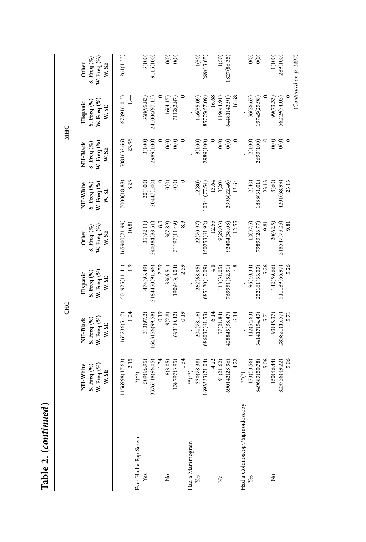|                                        |                                                                                                                | <b>CHC</b>                                      |                                                 |                                                     |                                                 |                                                 | MHC                                             |                                                        |
|----------------------------------------|----------------------------------------------------------------------------------------------------------------|-------------------------------------------------|-------------------------------------------------|-----------------------------------------------------|-------------------------------------------------|-------------------------------------------------|-------------------------------------------------|--------------------------------------------------------|
|                                        | NH-White<br>$N.$ Freq $(\%)$<br>S. Freq (%)<br>W. SE                                                           | W. Freq (%)<br>S. Freq (%)<br>NH-Black<br>W. SE | W. Freq (%)<br>S. Freq (%)<br>Hispanic<br>W. SE | W. Freq (%)<br>S. Freq (%)<br><b>Other</b><br>W. SE | NH-White<br>W. Freq (%)<br>S. Freq (%)<br>W. SE | W. Freq (%)<br>NH-Black<br>S. Freq (%)<br>W. SE | W. Freq (%)<br>S. Freq (%)<br>Hispanic<br>W. SE | W. Freq $(\%)$<br>S. Freq (%)<br><b>Other</b><br>W. SE |
| Ever Had a Pap Smear                   | 2.15<br>56998(17.63)<br>$^{(**)}$                                                                              | 1.24<br>165236(5.17)                            | 501925(11.41)<br>$\frac{1}{2}$                  | 165900(21.99)<br>10.81                              | 7000(18.88)<br>8.23                             | 5081(32.66)<br>23.96                            | 1.44<br>67891(10.3)                             | 261(1.33)                                              |
| Yes                                    | 1.34<br>509(96.95)<br>3376318(96.05)                                                                           | 0.19<br>1643176(99.58)<br>313(97.2)             | 2.59<br>474(93.49)<br>2184450(91.96)            | 8.3<br>35(92.11)<br>240384(88.51)                   | 20(100)<br>20447(100)                           | 3(100)<br>2989(100)                             | 368(95.83)<br>241004(97.13)                     | 3(100)<br>9115(100)                                    |
| $\tilde{z}$                            | 1.34<br>16(3.05)<br>138797(3.95)                                                                               | 0.19<br>9(2.8)<br>6931(0.42)                    | 2.59<br>190943(8.04)<br>33(6.51)                | 8.3<br>3(7.89)<br>31197(11.49)                      | 0(0)<br>0(0)                                    | $\widetilde{\mathrm{o}}(0)$<br>0(0)             | 16(4.17)<br>7112(2.87)                          | 0(0)<br>0(0)                                           |
| Had a Mammogram<br>Yes                 | 330(78.38)<br>4.22<br>1693333(71.04)<br>$\left(\begin{smallmatrix} * & * \ * & * & * \end{smallmatrix}\right)$ | 204(78.16)<br>6.14<br>686037(61.53)             | $\frac{4.8}{4}$<br>262(68.95)<br>685120(47.09)  | 12.55<br>22(70.97)<br>150253(61.92)                 | 12(80)<br>13.64<br>10344(77.54)                 | 3(100)<br>2989(100)                             | 16.68<br>146(55.09)<br>85775(57.09)             | 1(50)<br>289(13.65)                                    |
| $\tilde{z}$                            | 4.22<br>91(21.62)<br>690142(28.96)                                                                             | 6.14<br>57(21.84)<br>428845(38.47)              | $\frac{8}{4}$<br>118(31.05)<br>769951(52.91)    | 12.55<br>9(29.03)<br>92404(38.08)                   | 3(20)<br>13.64<br>2996(22.46)                   | 0(0)<br>0(0)                                    | 16.68<br>119(44.91)<br>64481(42.91)             | 1(50)<br>1827(86.35)                                   |
| Had a Colonoscopy/Sigmoidoscopy<br>Yes | 5.06<br>173(53.56)<br>849683(50.78)<br>$(\ast)$                                                                | 112(54.63)<br>341417(54.43)<br>5.71             | 5.26<br>96(40.34)<br>252161(33.03)              | 12(37.5)<br>79893(26.77)<br>9.81                    | 2(40)<br>23.13<br>1888(31.01)                   | 2(100)<br>2693(100)                             | 19745(25.98)<br>36(26.67)                       | $\widetilde{0}$<br>0(0)                                |
| ž                                      | 5.06<br>150(46.44)<br>823726(49.22)                                                                            | 285821(45.57)<br>5.71<br>93(45.37)              | 5.26<br>142(59.66)<br>511189(66.97)             | 20(62.5)<br>218547(73.23)<br>9.81                   | 23.13<br>3(60)<br>4201(68.99)                   | $\circ$<br>0(0)<br>0(0)                         | 99(73.33)<br>56249(74.02)                       | 1(100)<br>289(100)<br>(Continued on $p$ , 1497)        |

Table 2. (continued) **Table 2. (***continued***)**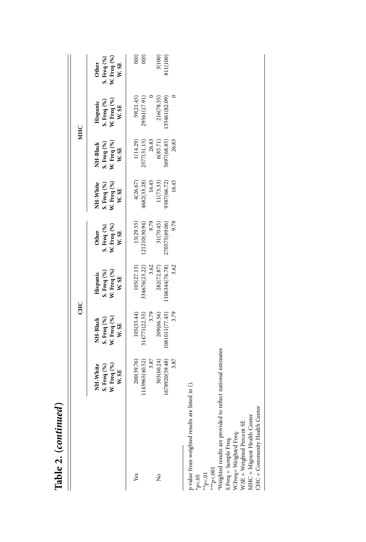| TANNIA TI (COINNING) |                                                 |                                                                         |                                                                       |                                                                        |                                                             |                                                                         |                                                 |                                                                      |
|----------------------|-------------------------------------------------|-------------------------------------------------------------------------|-----------------------------------------------------------------------|------------------------------------------------------------------------|-------------------------------------------------------------|-------------------------------------------------------------------------|-------------------------------------------------|----------------------------------------------------------------------|
|                      |                                                 | <b>CHC</b>                                                              |                                                                       |                                                                        |                                                             |                                                                         | <b>MHC</b>                                      |                                                                      |
|                      | S. Freq (%)<br>W. Freq (%)<br>NH-White<br>W. SE | S. Freq $\binom{96}{6}$<br>W. Freq $\binom{96}{6}$<br>W. SE<br>NH-Black | Hispanic<br>S. Freq (%)<br>W. Freq (%)<br>W. SE                       | Other<br>S. Freq $\binom{\%}{\%}$<br>W. Freq $\binom{\%}{\%}$<br>W. SE | NH-White<br>S. Freq (%)<br>W. Freq (%)<br>W. SE             | S. Freq $\binom{96}{6}$<br>W. Freq $\binom{96}{6}$<br>W. SE<br>NH-Black | Hispanic<br>S. Freq (%)<br>W. Freq (%)<br>W. SE | S. Freq $\binom{96}{6}$<br>W. Freq $\binom{96}{6}$<br>W. SE<br>Other |
| Yes                  | 200(39.76)<br>143965(40.52)<br>3.87             | 105(33.44)<br>314771(22.55)<br>3.79                                     | 105(27.13)                                                            | 13(29.55)                                                              | 4(26.67)                                                    | 1(14.29)                                                                | 59(21.45)<br>29561(17.91)<br>0                  | $\frac{1}{2}$                                                        |
| ż                    | 303(60.24)<br>1678920(59.48)<br>3.87            | $1081011(77.45)$<br>$3.79$<br>209(66.56)                                | $1106344(76.78)$<br>3.62<br>$334676(23.22)$<br>$3.62$<br>$282(72.87)$ | 9.79<br>270575(69.06)<br>$121210(30.94)$<br>9.79<br>31(70.45)          | $4682(33.28)$<br>16.45<br>11(73.33)<br>9387(66.72)<br>16.45 | 5697(68.85)<br>$2577(31.15)$<br>$26.83$<br>$6(85.71)$<br>26.83          | 216(78.55)<br>35461(82.09)                      | $3(100)$<br>811(100)                                                 |

p value from weighted results are listed in (). p value from weighted results are listed in ().

\*p<.05  $*_{p<.01}$ 

 $\begin{array}{l}***\text{p}<.001\\ * \text{Weighted results are provided to reflect national estimates}\end{array}$ aWeighted results are provided to reflect national estimates S.Freq = Sample Freq.

S.Freq = Sample Freq.<br>W.Freq= Weighted Freq. W.Freq= Weighted Freq.

W.SE = Weighted Percent SE<br>MHC = Migrant Health Center<br>CHC = Community Health Center MHC = Migrant Health Center W.SE = Weighted Percent SE

CHC = Community Health Center

Table 2. (continued) **Table 2. (***continued***)**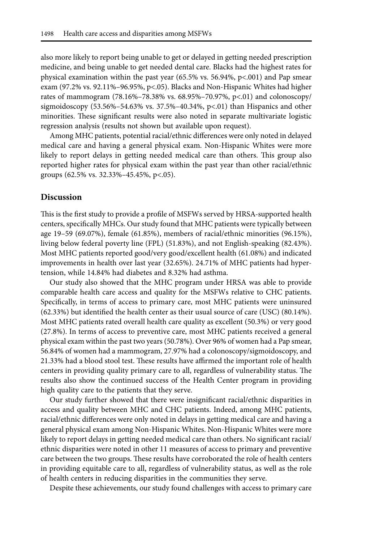also more likely to report being unable to get or delayed in getting needed prescription medicine, and being unable to get needed dental care. Blacks had the highest rates for physical examination within the past year (65.5% vs. 56.94%, p<.001) and Pap smear exam (97.2% vs. 92.11%–96.95%, p<.05). Blacks and Non-Hispanic Whites had higher rates of mammogram (78.16%– 78.38% vs. 68.95%– 70.97%, p<.01) and colonoscopy/ sigmoidoscopy  $(53.56\% - 54.63\%$  vs.  $37.5\% - 40.34\%$ , p<.01) than Hispanics and other minorities. These significant results were also noted in separate multivariate logistic regression analysis (results not shown but available upon request).

Among MHC patients, potential racial/ ethnic differences were only noted in delayed medical care and having a general physical exam. Non- Hispanic Whites were more likely to report delays in getting needed medical care than others. This group also reported higher rates for physical exam within the past year than other racial/ethnic groups (62.5% vs. 32.33%– 45.45%, p<.05).

#### **Discussion**

This is the first study to provide a profile of MSFWs served by HRSA- supported health centers, specifically MHCs. Our study found that MHC patients were typically between age 19– 59 (69.07%), female (61.85%), members of racial/ ethnic minorities (96.15%), living below federal poverty line (FPL) (51.83%), and not English- speaking (82.43%). Most MHC patients reported good/very good/excellent health (61.08%) and indicated improvements in health over last year (32.65%). 24.71% of MHC patients had hypertension, while 14.84% had diabetes and 8.32% had asthma.

Our study also showed that the MHC program under HRSA was able to provide comparable health care access and quality for the MSFWs relative to CHC patients. Specifically, in terms of access to primary care, most MHC patients were uninsured (62.33%) but identified the health center as their usual source of care (USC) (80.14%). Most MHC patients rated overall health care quality as excellent (50.3%) or very good (27.8%). In terms of access to preventive care, most MHC patients received a general physical exam within the past two years (50.78%). Over 96% of women had a Pap smear, 56.84% of women had a mammogram, 27.97% had a colonoscopy/ sigmoidoscopy, and 21.33% had a blood stool test. These results have affirmed the important role of health centers in providing quality primary care to all, regardless of vulnerability status. The results also show the continued success of the Health Center program in providing high quality care to the patients that they serve.

Our study further showed that there were insignificant racial/ ethnic disparities in access and quality between MHC and CHC patients. Indeed, among MHC patients, racial/ ethnic differences were only noted in delays in getting medical care and having a general physical exam among Non- Hispanic Whites. Non- Hispanic Whites were more likely to report delays in getting needed medical care than others. No significant racial/ ethnic disparities were noted in other 11 measures of access to primary and preventive care between the two groups. These results have corroborated the role of health centers in providing equitable care to all, regardless of vulnerability status, as well as the role of health centers in reducing disparities in the communities they serve.

Despite these achievements, our study found challenges with access to primary care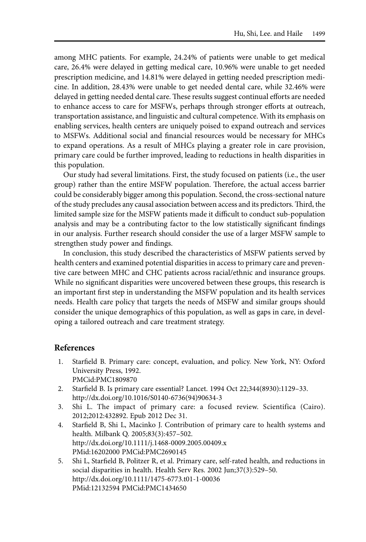among MHC patients. For example, 24.24% of patients were unable to get medical care, 26.4% were delayed in getting medical care, 10.96% were unable to get needed prescription medicine, and 14.81% were delayed in getting needed prescription medicine. In addition, 28.43% were unable to get needed dental care, while 32.46% were delayed in getting needed dental care. These results suggest continual efforts are needed to enhance access to care for MSFWs, perhaps through stronger efforts at outreach, transportation assistance, and linguistic and cultural competence. With its emphasis on enabling services, health centers are uniquely poised to expand outreach and services to MSFWs. Additional social and financial resources would be necessary for MHCs to expand operations. As a result of MHCs playing a greater role in care provision, primary care could be further improved, leading to reductions in health disparities in this population.

Our study had several limitations. First, the study focused on patients (i.e., the user group) rather than the entire MSFW population. Therefore, the actual access barrier could be considerably bigger among this population. Second, the cross- sectional nature of the study precludes any causal association between access and its predictors. Third, the limited sample size for the MSFW patients made it difficult to conduct sub- population analysis and may be a contributing factor to the low statistically significant findings in our analysis. Further research should consider the use of a larger MSFW sample to strengthen study power and findings.

In conclusion, this study described the characteristics of MSFW patients served by health centers and examined potential disparities in access to primary care and preventive care between MHC and CHC patients across racial/ ethnic and insurance groups. While no significant disparities were uncovered between these groups, this research is an important first step in understanding the MSFW population and its health services needs. Health care policy that targets the needs of MSFW and similar groups should consider the unique demographics of this population, as well as gaps in care, in developing a tailored outreach and care treatment strategy.

#### **References**

- 1. Starfield B. Primary care: concept, evaluation, and policy. New York, NY: Oxford University Press, 1992. PMCid:PMC1809870
- 2. Starfield B. Is primary care essential? Lancet. 1994 Oct 22;344(8930):1129–33. http://dx.doi.org/10.1016/S0140-6736(94)90634-3
- 3. Shi L. The impact of primary care: a focused review. Scientifica (Cairo). 2012;2012:432892. Epub 2012 Dec 31.
- 4. Starfield B, Shi L, Macinko J. Contribution of primary care to health systems and health. Milbank Q. 2005;83(3):457-502. http://dx.doi.org/10.1111/j.1468-0009.2005.00409.x PMid:16202000 PMCid:PMC2690145
- 5. Shi L, Starfield B, Politzer R, et al. Primary care, self- rated health, and reductions in social disparities in health. Health Serv Res. 2002 Jun;37(3):529–50. http://dx.doi.org/10.1111/1475-6773.t01-1-00036 PMid:12132594 PMCid:PMC1434650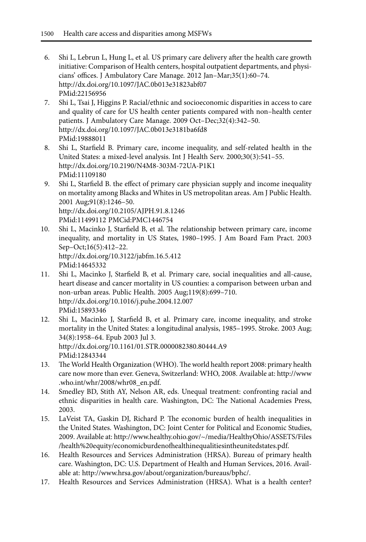- 6. Shi L, Lebrun L, Hung L, et al. US primary care delivery after the health care growth initiative: Comparison of Health centers, hospital outpatient departments, and physicians' offices. J Ambulatory Care Manage. 2012 Jan-Mar;35(1):60-74. http://dx.doi.org/10.1097/JAC.0b013e31823abf07 PMid:22156956
- 7. Shi L, Tsai J, Higgins P. Racial/ ethnic and socioeconomic disparities in access to care and quality of care for US health center patients compared with non– health center patients. J Ambulatory Care Manage. 2009 Oct–Dec;32(4):342–50. http://dx.doi.org/10.1097/JAC.0b013e3181ba6fd8 PMid:19888011
- 8. Shi L, Starfield B. Primary care, income inequality, and self- related health in the United States: a mixed-level analysis. Int J Health Serv. 2000;30(3):541-55. http://dx.doi.org/10.2190/N4M8-303M-72UA-P1K1 PMid:11109180
- 9. Shi L, Starfield B. the effect of primary care physician supply and income inequality on mortality among Blacks and Whites in US metropolitan areas. Am J Public Health. 2001 Aug;91(8):1246-50. http://dx.doi.org/10.2105/AJPH.91.8.1246 PMid:11499112 PMCid:PMC1446754
- 10. Shi L, Macinko J, Starfield B, et al. The relationship between primary care, income inequality, and mortality in US States, 1980-1995. J Am Board Fam Pract. 2003 Sep-Oct;16(5):412-22. http://dx.doi.org/10.3122/jabfm.16.5.412 PMid:14645332
- 11. Shi L, Macinko J, Starfield B, et al. Primary care, social inequalities and all- cause, heart disease and cancer mortality in US counties: a comparison between urban and non- urban areas. Public Health. 2005 Aug;119(8):699– 710. http://dx.doi.org/10.1016/j.puhe.2004.12.007 PMid:15893346
- 12. Shi L, Macinko J, Starfield B, et al. Primary care, income inequality, and stroke mortality in the United States: a longitudinal analysis, 1985– 1995. Stroke. 2003 Aug; 34(8):1958-64. Epub 2003 Jul 3. http://dx.doi.org/10.1161/01.STR.0000082380.80444.A9 PMid:12843344
- 13. The World Health Organization (WHO). The world health report 2008: primary health care now more than ever. Geneva, Switzerland: WHO, 2008. Available at: http:// www .who.int/whr/2008/whr08\_en.pdf.
- 14. Smedley BD, Stith AY, Nelson AR, eds. Unequal treatment: confronting racial and ethnic disparities in health care. Washington, DC: The National Academies Press, 2003.
- 15. LaVeist TA, Gaskin DJ, Richard P. The economic burden of health inequalities in the United States. Washington, DC: Joint Center for Political and Economic Studies, 2009. Available at: http:// www .healthy.ohio .gov/ ~/ media/ HealthyOhio/ ASSETS/ Files / health%20equity/ economicburdenofhealthinequalitiesintheunitedstates .pdf.
- 16. Health Resources and Services Administration (HRSA). Bureau of primary health care. Washington, DC: U.S. Department of Health and Human Services, 2016. Available at: http://www.hrsa.gov/about/organization/bureaus/bphc/.
- 17. Health Resources and Services Administration (HRSA). What is a health center?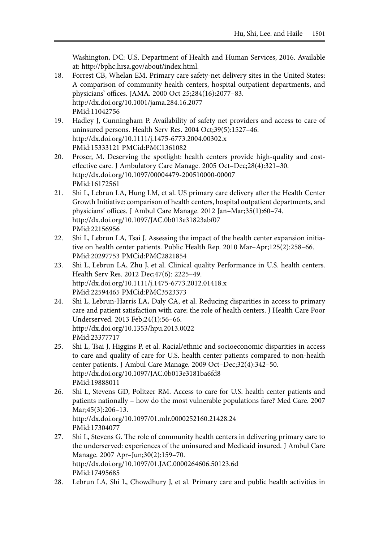Washington, DC: U.S. Department of Health and Human Services, 2016. Available at: http://bphc.hrsa.gov/about/index.html.

- 18. Forrest CB, Whelan EM. Primary care safety- net delivery sites in the United States: A comparison of community health centers, hospital outpatient departments, and physicians' offices. JAMA. 2000 Oct 25;284(16):2077– 83. http://dx.doi.org/10.1001/jama.284.16.2077 PMid:11042756
- 19. Hadley J, Cunningham P. Availability of safety net providers and access to care of uninsured persons. Health Serv Res. 2004 Oct;39(5):1527-46. http://dx.doi.org/10.1111/j.1475-6773.2004.00302.x PMid:15333121 PMCid:PMC1361082
- 20. Proser, M. Deserving the spotlight: health centers provide high-quality and costeffective care. J Ambulatory Care Manage. 2005 Oct–Dec;28(4):321-30. http://dx.doi.org/10.1097/00004479-200510000-00007 PMid:16172561
- 21. Shi L, Lebrun LA, Hung LM, et al. US primary care delivery after the Health Center Growth Initiative: comparison of health centers, hospital outpatient departments, and physicians' offices. J Ambul Care Manage. 2012 Jan-Mar;35(1):60-74. http://dx.doi.org/10.1097/JAC.0b013e31823abf07 PMid:22156956
- 22. Shi L, Lebrun LA, Tsai J. Assessing the impact of the health center expansion initiative on health center patients. Public Health Rep. 2010 Mar-Apr;125(2):258-66. PMid:20297753 PMCid:PMC2821854
- 23. Shi L, Lebrun LA, Zhu J, et al. Clinical quality Performance in U.S. health centers. Health Serv Res. 2012 Dec; 47(6): 2225-49. http://dx.doi.org/10.1111/j.1475-6773.2012.01418.x PMid:22594465 PMCid:PMC3523373
- 24. Shi L, Lebrun- Harris LA, Daly CA, et al. Reducing disparities in access to primary care and patient satisfaction with care: the role of health centers. J Health Care Poor Underserved. 2013 Feb;24(1):56-66. http://dx.doi.org/10.1353/hpu.2013.0022 PMid:23377717
- 25. Shi L, Tsai J, Higgins P, et al. Racial/ ethnic and socioeconomic disparities in access to care and quality of care for U.S. health center patients compared to non- health center patients. J Ambul Care Manage. 2009 Oct-Dec;32(4):342-50. http://dx.doi.org/10.1097/JAC.0b013e3181ba6fd8 PMid:19888011
- 26. Shi L, Stevens GD, Politzer RM. Access to care for U.S. health center patients and patients nationally – how do the most vulnerable populations fare? Med Care. 2007 Mar; 45(3): 206-13. http://dx.doi.org/10.1097/01.mlr.0000252160.21428.24

PMid:17304077

- 27. Shi L, Stevens G. The role of community health centers in delivering primary care to the underserved: experiences of the uninsured and Medicaid insured. J Ambul Care Manage. 2007 Apr-Jun;30(2):159-70. http://dx.doi.org/10.1097/01.JAC.0000264606.50123.6d PMid:17495685
- 28. Lebrun LA, Shi L, Chowdhury J, et al. Primary care and public health activities in